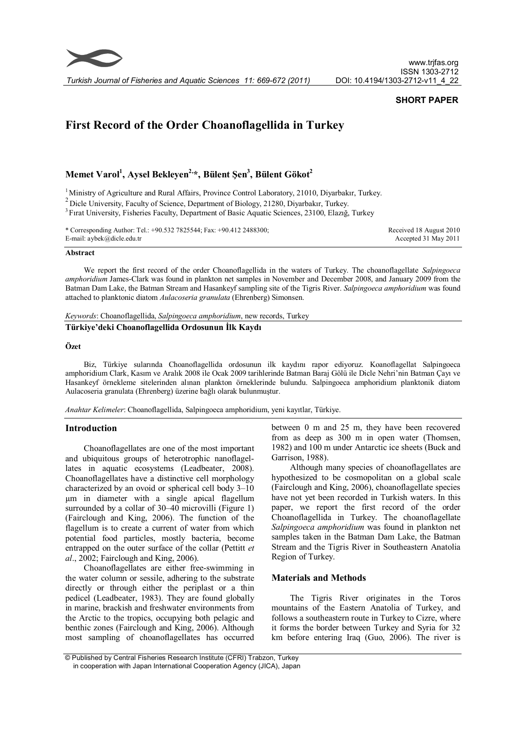

## **SHORT PAPER**

# **First Record of the Order Choanoflagellida in Turkey**

# **Memet Varol<sup>1</sup> , Aysel Bekleyen2,\*, Bülent Şen<sup>3</sup> , Bülent Gökot<sup>2</sup>**

<sup>1</sup> Ministry of Agriculture and Rural Affairs, Province Control Laboratory, 21010, Diyarbakır, Turkey.

<sup>2</sup> Dicle University, Faculty of Science, Department of Biology, 21280, Diyarbakır, Turkey.

<sup>3</sup> Fırat University, Fisheries Faculty, Department of Basic Aquatic Sciences, 23100, Elazığ, Turkey

| * Corresponding Author: Tel.: +90.532 7825544; Fax: +90.412 2488300; | Received 18 August 2010 |
|----------------------------------------------------------------------|-------------------------|
| E-mail: $a$ ybek $(a)$ dicle.edu.tr                                  | Accepted 31 May 2011    |

#### **Abstract**

We report the first record of the order Choanoflagellida in the waters of Turkey. The choanoflagellate *Salpingoeca amphoridium* James-Clark was found in plankton net samples in November and December 2008, and January 2009 from the Batman Dam Lake, the Batman Stream and Hasankeyf sampling site of the Tigris River. *Salpingoeca amphoridium* was found attached to planktonic diatom *Aulacoseria granulata* (Ehrenberg) Simonsen.

*Keywords*: Choanoflagellida, *Salpingoeca amphoridium*, new records, Turkey

#### **Türkiye'deki Choanoflagellida Ordosunun İlk Kaydı**

#### **Özet**

Biz, Türkiye sularında Choanoflagellida ordosunun ilk kaydını rapor ediyoruz. Koanoflagellat Salpingoeca amphoridium Clark, Kasım ve Aralık 2008 ile Ocak 2009 tarihlerinde Batman Baraj Gölü ile Dicle Nehri'nin Batman Çayı ve Hasankeyf örnekleme sitelerinden alınan plankton örneklerinde bulundu. Salpingoeca amphoridium planktonik diatom Aulacoseria granulata (Ehrenberg) üzerine bağlı olarak bulunmuştur.

*Anahtar Kelimeler*: Choanoflagellida, Salpingoeca amphoridium, yeni kayıtlar, Türkiye.

#### **Introduction**

Choanoflagellates are one of the most important and ubiquitous groups of heterotrophic nanoflagellates in aquatic ecosystems (Leadbeater, 2008). Choanoflagellates have a distinctive cell morphology characterized by an ovoid or spherical cell body 3–10 µm in diameter with a single apical flagellum surrounded by a collar of 30–40 microvilli (Figure 1) (Fairclough and King, 2006). The function of the flagellum is to create a current of water from which potential food particles, mostly bacteria, become entrapped on the outer surface of the collar (Pettitt *et al*., 2002; Fairclough and King, 2006).

Choanoflagellates are either free-swimming in the water column or sessile, adhering to the substrate directly or through either the periplast or a thin pedicel (Leadbeater, 1983). They are found globally in marine, brackish and freshwater environments from the Arctic to the tropics, occupying both pelagic and benthic zones (Fairclough and King, 2006). Although most sampling of choanoflagellates has occurred

between 0 m and 25 m, they have been recovered from as deep as 300 m in open water (Thomsen, 1982) and 100 m under Antarctic ice sheets (Buck and Garrison, 1988).

Although many species of choanoflagellates are hypothesized to be cosmopolitan on a global scale (Fairclough and King, 2006), choanoflagellate species have not yet been recorded in Turkish waters. In this paper, we report the first record of the order Choanoflagellida in Turkey. The choanoflagellate *Salpingoeca amphoridium* was found in plankton net samples taken in the Batman Dam Lake, the Batman Stream and the Tigris River in Southeastern Anatolia Region of Turkey.

#### **Materials and Methods**

The Tigris River originates in the Toros mountains of the Eastern Anatolia of Turkey, and follows a southeastern route in Turkey to Cizre, where it forms the border between Turkey and Syria for 32 km before entering Iraq (Guo, 2006). The river is

 <sup>©</sup> Published by Central Fisheries Research Institute (CFRI) Trabzon, Turkey in cooperation with Japan International Cooperation Agency (JICA), Japan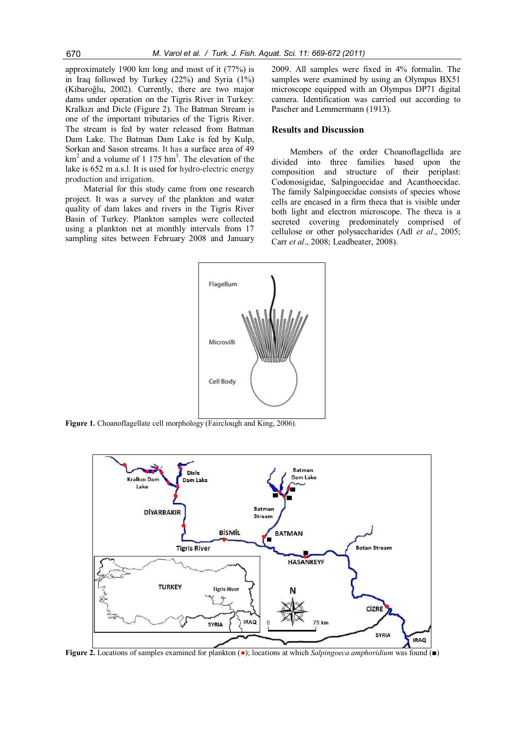approximately 1900 km long and most of it (77%) is in Iraq followed by Turkey (22%) and Syria (1%) (Kibaroğlu, 2002). Currently, there are two major dams under operation on the Tigris River in Turkey: Kralkızı and Dicle (Figure 2). The Batman Stream is one of the important tributaries of the Tigris River. The stream is fed by water released from Batman Dam Lake. The Batman Dam Lake is fed by Kulp, Sorkan and Sason streams. It has a surface area of 49  $km<sup>2</sup>$  and a volume of 1 175 hm<sup>3</sup>. The elevation of the lake is 652 m a.s.l. It is used for hydro-electric energy production and irrigation.

Material for this study came from one research project. It was a survey of the plankton and water quality of dam lakes and rivers in the Tigris River Basin of Turkey. Plankton samples were collected using a plankton net at monthly intervals from 17 sampling sites between February 2008 and January 2009. All samples were fixed in 4% formalin. The samples were examined by using an Olympus BX51 microscope equipped with an Olympus DP71 digital camera. Identification was carried out according to Pascher and Lemmermann (1913).

#### **Results and Discussion**

Members of the order Choanoflagellida are divided into three families based upon the composition and structure of their periplast: Codonosigidae, Salpingoecidae and Acanthoecidae. The family Salpingoecidae consists of species whose cells are encased in a firm theca that is visible under both light and electron microscope. The theca is a secreted covering predominately comprised of cellulose or other polysaccharides (Adl *et al*., 2005; Carr *et al*., 2008; Leadbeater, 2008).



**Figure 1.** Choanoflagellate cell morphology (Fairclough and King, 2006).



**Figure 2.** Locations of samples examined for plankton (●); locations at which *Salpingoeca amphoridium* was found (■)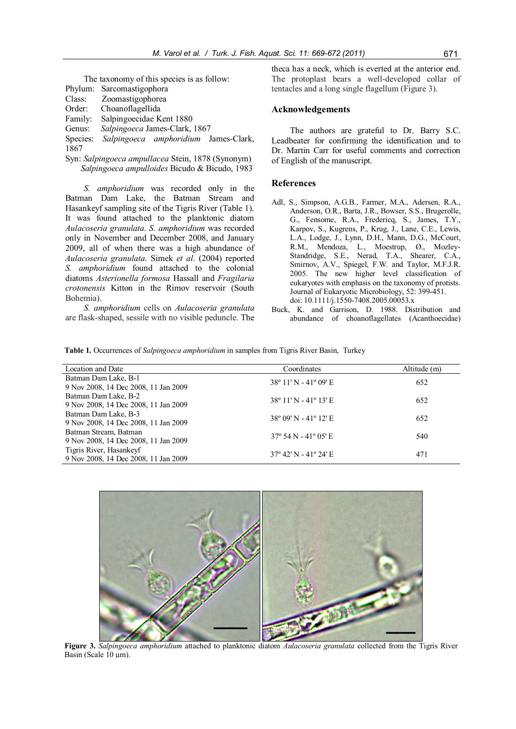The taxonomy of this species is as follow: Phylum: Sarcomastigophora Class: Zoomastigophorea Order: Choanoflagellida Family: Salpingoecidae Kent 1880 Genus: *Salpingoeca* James-Clark, 1867 Species: *Salpingoeca amphoridium* James-Clark, 1867

Syn: *Salpingoeca ampullacea* Stein, 1878 (Synonym)  *Salpingoeca ampulloides* Bicudo & Bicudo, 1983

*S. amphoridium* was recorded only in the Batman Dam Lake, the Batman Stream and Hasankeyf sampling site of the Tigris River (Table 1). It was found attached to the planktonic diatom *Aulacoseria granulata*. *S. amphoridium* was recorded only in November and December 2008, and January 2009, all of when there was a high abundance of *Aulacoseria granulata*. Simek *et al*. (2004) reported *S. amphoridium* found attached to the colonial diatoms *Asterionella formosa* Hassall and *Fragilaria crotonensis* Kitton in the Rimov reservoir (South Bohemia).

*S. amphoridium* cells on *Aulacoseria granulata* are flask-shaped, sessile with no visible peduncle. The theca has a neck, which is everted at the anterior end. The protoplast bears a well-developed collar of tentacles and a long single flagellum (Figure 3).

### **Acknowledgements**

The authors are grateful to Dr. Barry S.C. Leadbeater for confirming the identification and to Dr. Martin Carr for useful comments and correction of English of the manuscript.

#### **References**

- Adl, S., Simpson, A.G.B., Farmer, M.A., Adersen, R.A., Anderson, O.R., Barta, J.R., Bowser, S.S., Brugerolle, G., Fensome, R.A., Fredericq, S., James, T.Y., Karpov, S., Kugrens, P., Krug, J., Lane, C.E., Lewis, L.A., Lodge, J., Lynn, D.H., Mann, D.G., McCourt, R.M., Mendoza, L., Moestrup, Ø., Mozley-Standridge, S.E., Nerad, T.A., Shearer, C.A., Smirnov, A.V., Spiegel, F.W. and Taylor, M.F.J.R. 2005. The new higher level classification of eukaryotes with emphasis on the taxonomy of protists. Journal of Eukaryotic Microbiology, 52: 399-451. doi: 10.1111/j.1550-7408.2005.00053.x
- Buck, K. and Garrison, D. 1988. Distribution and abundance of choanoflagellates (Acanthoecidae)

**Table 1.** Occurrences of *Salpingoeca amphoridium* in samples from Tigris River Basin, Turkey

| Coordinates | Altitude (m)                                                                                                                                                                    |  |
|-------------|---------------------------------------------------------------------------------------------------------------------------------------------------------------------------------|--|
|             | 652                                                                                                                                                                             |  |
|             |                                                                                                                                                                                 |  |
|             | 652                                                                                                                                                                             |  |
|             |                                                                                                                                                                                 |  |
|             | 652                                                                                                                                                                             |  |
|             |                                                                                                                                                                                 |  |
|             | 540                                                                                                                                                                             |  |
|             |                                                                                                                                                                                 |  |
|             | 471                                                                                                                                                                             |  |
|             |                                                                                                                                                                                 |  |
|             | $38^{\circ}$ 11' N - 41° 09' E<br>$38^{\circ}$ 11' N - 41° 13' E<br>$38^{\circ}$ 09' N - 41° 12' E<br>$37^{\circ}$ 54 N - 41 $^{\circ}$ 05' E<br>$37^{\circ}$ 42' N - 41° 24' E |  |



**Figure 3.** *Salpingoeca amphoridium* attached to planktonic diatom *Aulacoseria granulata* collected from the Tigris River Basin (Scale 10 µm).